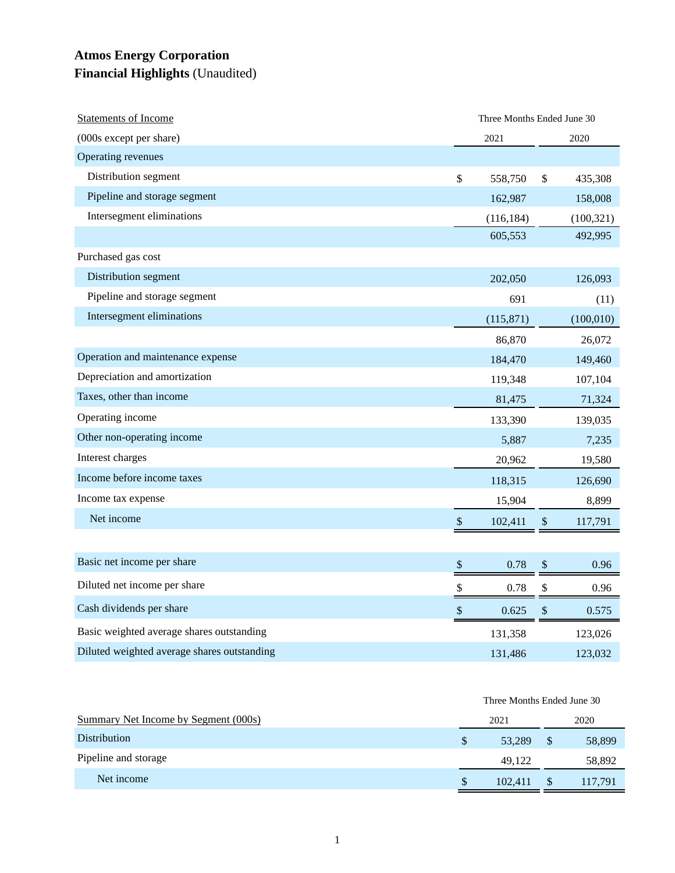## **Atmos Energy Corporation Financial Highlights** (Unaudited)

| <b>Statements of Income</b>                 |              | Three Months Ended June 30 |                           |            |  |
|---------------------------------------------|--------------|----------------------------|---------------------------|------------|--|
| (000s except per share)                     |              | 2021                       |                           | 2020       |  |
| Operating revenues                          |              |                            |                           |            |  |
| Distribution segment                        | \$           | 558,750                    | \$                        | 435,308    |  |
| Pipeline and storage segment                |              | 162,987                    |                           | 158,008    |  |
| Intersegment eliminations                   |              | (116, 184)                 |                           | (100, 321) |  |
|                                             |              | 605,553                    |                           | 492,995    |  |
| Purchased gas cost                          |              |                            |                           |            |  |
| Distribution segment                        |              | 202,050                    |                           | 126,093    |  |
| Pipeline and storage segment                |              | 691                        |                           | (11)       |  |
| Intersegment eliminations                   |              | (115, 871)                 |                           | (100, 010) |  |
|                                             |              | 86,870                     |                           | 26,072     |  |
| Operation and maintenance expense           |              | 184,470                    |                           | 149,460    |  |
| Depreciation and amortization               |              | 119,348                    |                           | 107,104    |  |
| Taxes, other than income                    |              | 81,475                     |                           | 71,324     |  |
| Operating income                            |              | 133,390                    |                           | 139,035    |  |
| Other non-operating income                  |              | 5,887                      |                           | 7,235      |  |
| Interest charges                            |              | 20,962                     |                           | 19,580     |  |
| Income before income taxes                  |              | 118,315                    |                           | 126,690    |  |
| Income tax expense                          |              | 15,904                     |                           | 8,899      |  |
| Net income                                  | $\mathbb{S}$ | 102,411                    | \$                        | 117,791    |  |
|                                             |              |                            |                           |            |  |
| Basic net income per share                  | \$           | 0.78                       | \$                        | 0.96       |  |
| Diluted net income per share                | \$           | 0.78                       | \$                        | 0.96       |  |
| Cash dividends per share                    | \$           | 0.625                      | $\boldsymbol{\mathsf{S}}$ | 0.575      |  |
| Basic weighted average shares outstanding   |              | 131,358                    |                           | 123,026    |  |
| Diluted weighted average shares outstanding |              | 131,486                    |                           | 123,032    |  |

|                                      | Three Months Ended June 30 |         |               |         |
|--------------------------------------|----------------------------|---------|---------------|---------|
| Summary Net Income by Segment (000s) | 2021                       |         |               | 2020    |
| <b>Distribution</b>                  | \$                         | 53.289  | <sup>\$</sup> | 58,899  |
| Pipeline and storage                 |                            | 49.122  |               | 58,892  |
| Net income                           | \$                         | 102.411 | <sup>S</sup>  | 117.791 |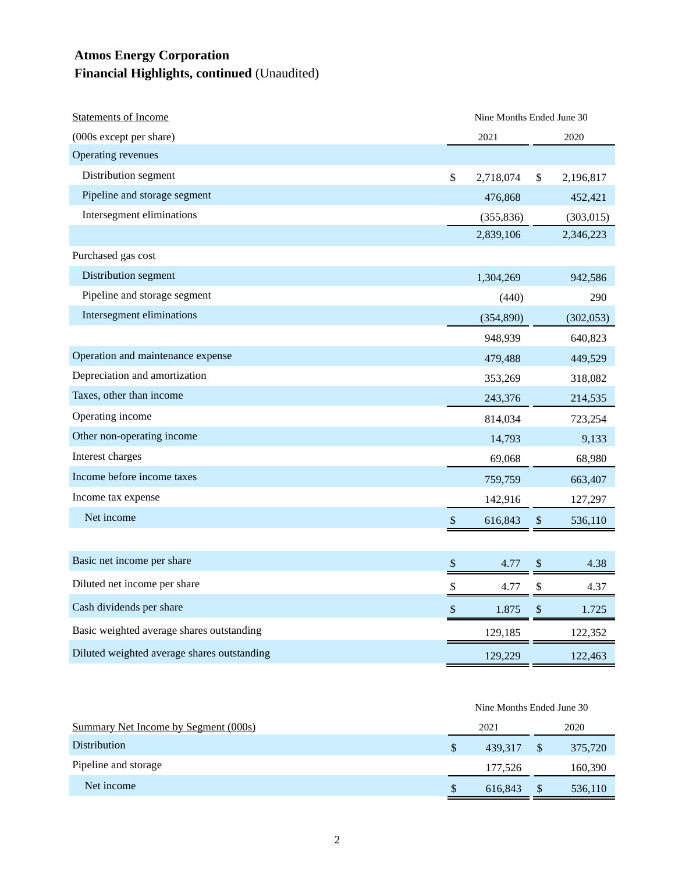## **Atmos Energy Corporation Financial Highlights, continued** (Unaudited)

| <b>Statements of Income</b>                 |                           | Nine Months Ended June 30 |                           |            |  |
|---------------------------------------------|---------------------------|---------------------------|---------------------------|------------|--|
| (000s except per share)                     |                           | 2021                      |                           | 2020       |  |
| Operating revenues                          |                           |                           |                           |            |  |
| Distribution segment                        | $\boldsymbol{\mathsf{S}}$ | 2,718,074                 | \$                        | 2,196,817  |  |
| Pipeline and storage segment                |                           | 476,868                   |                           | 452,421    |  |
| Intersegment eliminations                   |                           | (355, 836)                |                           | (303, 015) |  |
|                                             |                           | 2,839,106                 |                           | 2,346,223  |  |
| Purchased gas cost                          |                           |                           |                           |            |  |
| Distribution segment                        |                           | 1,304,269                 |                           | 942,586    |  |
| Pipeline and storage segment                |                           | (440)                     |                           | 290        |  |
| Intersegment eliminations                   |                           | (354, 890)                |                           | (302,053)  |  |
|                                             |                           | 948,939                   |                           | 640,823    |  |
| Operation and maintenance expense           |                           | 479,488                   |                           | 449,529    |  |
| Depreciation and amortization               |                           | 353,269                   |                           | 318,082    |  |
| Taxes, other than income                    |                           | 243,376                   |                           | 214,535    |  |
| Operating income                            |                           | 814,034                   |                           | 723,254    |  |
| Other non-operating income                  |                           | 14,793                    |                           | 9,133      |  |
| Interest charges                            |                           | 69,068                    |                           | 68,980     |  |
| Income before income taxes                  |                           | 759,759                   |                           | 663,407    |  |
| Income tax expense                          |                           | 142,916                   |                           | 127,297    |  |
| Net income                                  | $\boldsymbol{\mathsf{S}}$ | 616,843                   | $\boldsymbol{\mathsf{S}}$ | 536,110    |  |
|                                             |                           |                           |                           |            |  |
| Basic net income per share                  | $\boldsymbol{\mathsf{S}}$ | 4.77                      | $\$\,$                    | 4.38       |  |
| Diluted net income per share                | \$                        | 4.77                      | \$                        | 4.37       |  |
| Cash dividends per share                    | $\boldsymbol{\mathsf{S}}$ | 1.875                     | $\mathcal{S}$             | 1.725      |  |
| Basic weighted average shares outstanding   |                           | 129,185                   |                           | 122,352    |  |
| Diluted weighted average shares outstanding |                           | 129,229                   |                           | 122,463    |  |
|                                             |                           |                           |                           |            |  |

|                                      | Nine Months Ended June 30 |         |               |         |
|--------------------------------------|---------------------------|---------|---------------|---------|
| Summary Net Income by Segment (000s) |                           | 2021    |               | 2020    |
| <b>Distribution</b>                  | <sup>\$</sup>             | 439.317 | <sup>\$</sup> | 375,720 |
| Pipeline and storage                 |                           | 177,526 |               | 160,390 |
| Net income                           | S                         | 616.843 | \$            | 536,110 |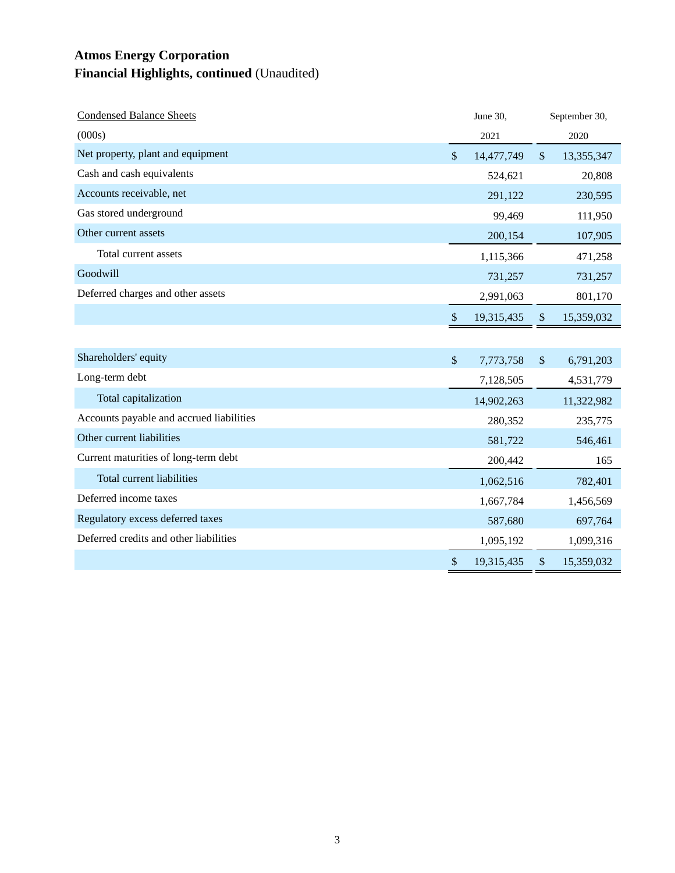## **Atmos Energy Corporation Financial Highlights, continued** (Unaudited)

| <b>Condensed Balance Sheets</b>          |                           | June 30,   |               | September 30, |
|------------------------------------------|---------------------------|------------|---------------|---------------|
| (000s)                                   |                           | 2021       |               | 2020          |
| Net property, plant and equipment        | $\mathcal{S}$             | 14,477,749 | $\sqrt{\ }$   | 13,355,347    |
| Cash and cash equivalents                |                           | 524,621    |               | 20,808        |
| Accounts receivable, net                 |                           | 291,122    |               | 230,595       |
| Gas stored underground                   |                           | 99,469     |               | 111,950       |
| Other current assets                     |                           | 200,154    |               | 107,905       |
| Total current assets                     |                           | 1,115,366  |               | 471,258       |
| Goodwill                                 |                           | 731,257    |               | 731,257       |
| Deferred charges and other assets        |                           | 2,991,063  |               | 801,170       |
|                                          | \$                        | 19,315,435 | \$            | 15,359,032    |
|                                          |                           |            |               |               |
| Shareholders' equity                     | $\mathcal{S}$             | 7,773,758  | $\mathcal{S}$ | 6,791,203     |
| Long-term debt                           |                           | 7,128,505  |               | 4,531,779     |
| Total capitalization                     |                           | 14,902,263 |               | 11,322,982    |
| Accounts payable and accrued liabilities |                           | 280,352    |               | 235,775       |
| Other current liabilities                |                           | 581,722    |               | 546,461       |
| Current maturities of long-term debt     |                           | 200,442    |               | 165           |
| <b>Total current liabilities</b>         |                           | 1,062,516  |               | 782,401       |
| Deferred income taxes                    |                           | 1,667,784  |               | 1,456,569     |
| Regulatory excess deferred taxes         |                           | 587,680    |               | 697,764       |
| Deferred credits and other liabilities   |                           | 1,095,192  |               | 1,099,316     |
|                                          | $\boldsymbol{\mathsf{S}}$ | 19,315,435 | \$            | 15,359,032    |